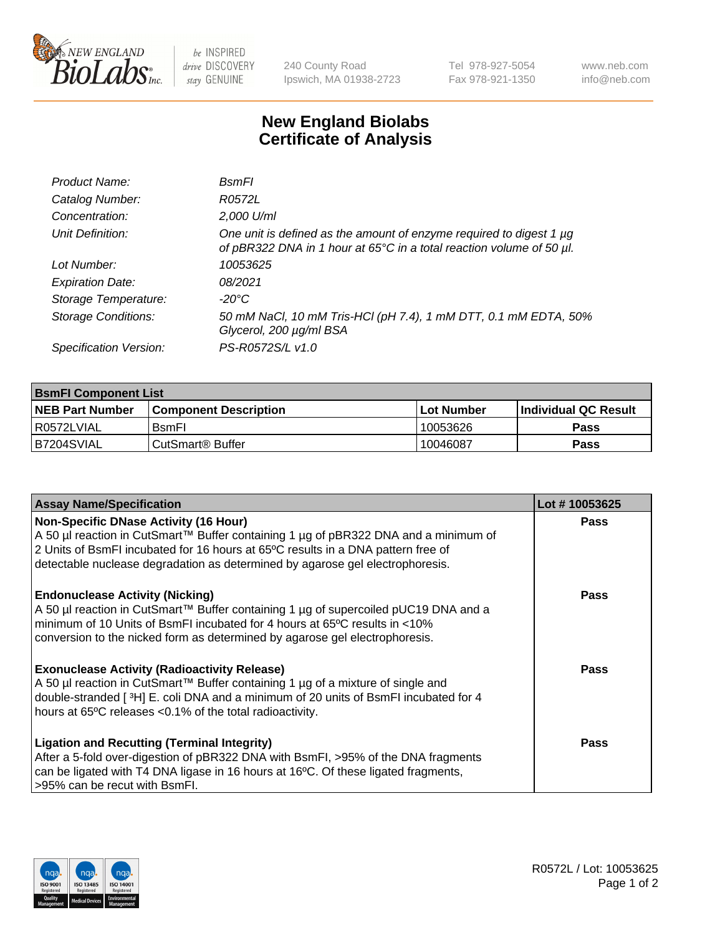

 $be$  INSPIRED drive DISCOVERY stay GENUINE

240 County Road Ipswich, MA 01938-2723 Tel 978-927-5054 Fax 978-921-1350 www.neb.com info@neb.com

## **New England Biolabs Certificate of Analysis**

| Product Name:              | <b>B</b> smFl                                                                                                                               |
|----------------------------|---------------------------------------------------------------------------------------------------------------------------------------------|
| Catalog Number:            | R0572L                                                                                                                                      |
| Concentration:             | 2,000 U/ml                                                                                                                                  |
| Unit Definition:           | One unit is defined as the amount of enzyme required to digest 1 µg<br>of pBR322 DNA in 1 hour at 65°C in a total reaction volume of 50 µl. |
| Lot Number:                | 10053625                                                                                                                                    |
| <b>Expiration Date:</b>    | 08/2021                                                                                                                                     |
| Storage Temperature:       | -20°C                                                                                                                                       |
| <b>Storage Conditions:</b> | 50 mM NaCl, 10 mM Tris-HCl (pH 7.4), 1 mM DTT, 0.1 mM EDTA, 50%<br>Glycerol, 200 µg/ml BSA                                                  |
| Specification Version:     | PS-R0572S/L v1.0                                                                                                                            |

| <b>BsmFI Component List</b> |                         |              |                             |  |
|-----------------------------|-------------------------|--------------|-----------------------------|--|
| <b>NEB Part Number</b>      | l Component Description | l Lot Number | <b>Individual QC Result</b> |  |
| I R0572LVIAL                | <b>B</b> smFI           | 10053626     | Pass                        |  |
| B7204SVIAL                  | l CutSmart® Buffer_     | 10046087     | Pass                        |  |

| <b>Assay Name/Specification</b>                                                                                                                                                                                                                                                                          | Lot #10053625 |
|----------------------------------------------------------------------------------------------------------------------------------------------------------------------------------------------------------------------------------------------------------------------------------------------------------|---------------|
| <b>Non-Specific DNase Activity (16 Hour)</b><br>A 50 µl reaction in CutSmart™ Buffer containing 1 µg of pBR322 DNA and a minimum of<br>2 Units of BsmFI incubated for 16 hours at 65°C results in a DNA pattern free of<br>detectable nuclease degradation as determined by agarose gel electrophoresis. | Pass          |
| <b>Endonuclease Activity (Nicking)</b><br>A 50 µl reaction in CutSmart™ Buffer containing 1 µg of supercoiled pUC19 DNA and a<br>minimum of 10 Units of BsmFI incubated for 4 hours at 65 <sup>o</sup> C results in <10%<br>conversion to the nicked form as determined by agarose gel electrophoresis.  | Pass          |
| <b>Exonuclease Activity (Radioactivity Release)</b><br>A 50 µl reaction in CutSmart™ Buffer containing 1 µg of a mixture of single and<br>double-stranded [3H] E. coli DNA and a minimum of 20 units of BsmFI incubated for 4<br>hours at 65°C releases <0.1% of the total radioactivity.                | Pass          |
| <b>Ligation and Recutting (Terminal Integrity)</b><br>After a 5-fold over-digestion of pBR322 DNA with BsmFI, >95% of the DNA fragments<br>can be ligated with T4 DNA ligase in 16 hours at 16°C. Of these ligated fragments,<br>>95% can be recut with BsmFI.                                           | Pass          |